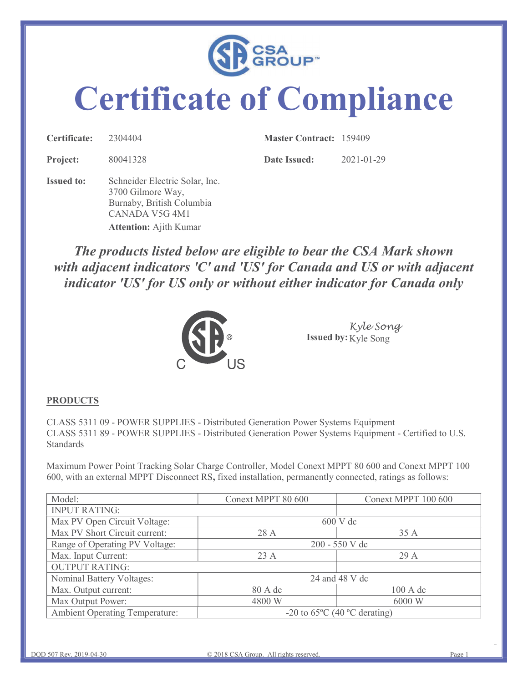

## Certificate of Compliance

| CSA<br>GROUP <sup>®</sup>        |          |                                |            |  |  |  |
|----------------------------------|----------|--------------------------------|------------|--|--|--|
| <b>Certificate of Compliance</b> |          |                                |            |  |  |  |
|                                  |          | <b>Master Contract: 159409</b> |            |  |  |  |
| Certificate:                     | 2304404  |                                |            |  |  |  |
| Project:                         | 80041328 | <b>Date Issued:</b>            | 2021-01-29 |  |  |  |

The products listed below are eligible to bear the CSA Mark shown with adjacent indicators 'C' and 'US' for Canada and US or with adjacent indicator 'US' for US only or without either indicator for Canada only Euraby, British Columbia<br>
CANADA V5G 4M1<br>
Attention: Ajith Kumar<br> **The products listed below are eligible to bear the CSA Mark shown**<br>
with adjacent indicators 'C' and 'US' for Canada and US or with adjacent<br>
indicator 'US CANADA VSG 4M1<br>
2 Attention: Ajith Kumar<br>
The products listed below are eligible to bear the CSA Mark shown<br>
with adjacent<br>
indicator 'US' for US only or without either indicator for Canada only<br>
indicator 'US' for US only The products listed below are eligible to bear the CSA Mark shown<br>with adjacent indicators 'C' and 'US' for Canada and US or with adjacent<br>indicator 'US' for US only or without either indicator for Canada only<br> $\frac{K y le$  Son



## **PRODUCTS**

|                                                                                                                                                                                                                                                                                                                                                                                                                       |                                        | Kyle Song<br>Issued by: Kyle Song |
|-----------------------------------------------------------------------------------------------------------------------------------------------------------------------------------------------------------------------------------------------------------------------------------------------------------------------------------------------------------------------------------------------------------------------|----------------------------------------|-----------------------------------|
| <b>PRODUCTS</b>                                                                                                                                                                                                                                                                                                                                                                                                       |                                        |                                   |
| CLASS 5311 09 - POWER SUPPLIES - Distributed Generation Power Systems Equipment<br>CLASS 5311 89 - POWER SUPPLIES - Distributed Generation Power Systems Equipment - Certified to U.S.<br>Standards<br>Maximum Power Point Tracking Solar Charge Controller, Model Conext MPPT 80 600 and Conext MPPT 100<br>600, with an external MPPT Disconnect RS, fixed installation, permanently connected, ratings as follows: |                                        |                                   |
| Model:                                                                                                                                                                                                                                                                                                                                                                                                                | Conext MPPT 80 600                     | Conext MPPT 100 600               |
| <b>INPUT RATING:</b>                                                                                                                                                                                                                                                                                                                                                                                                  |                                        |                                   |
| Max PV Open Circuit Voltage:                                                                                                                                                                                                                                                                                                                                                                                          | 600 V dc                               |                                   |
| Max PV Short Circuit current:                                                                                                                                                                                                                                                                                                                                                                                         | 28 A                                   | 35 A                              |
| Range of Operating PV Voltage:                                                                                                                                                                                                                                                                                                                                                                                        | 200 - 550 V dc                         |                                   |
| Max. Input Current:                                                                                                                                                                                                                                                                                                                                                                                                   | 23 A                                   | 29 A                              |
| <b>OUTPUT RATING:</b>                                                                                                                                                                                                                                                                                                                                                                                                 |                                        |                                   |
| Nominal Battery Voltages:                                                                                                                                                                                                                                                                                                                                                                                             |                                        | 24 and 48 V dc                    |
| Max. Output current:                                                                                                                                                                                                                                                                                                                                                                                                  | 80 A dc                                | 100 A dc                          |
| Max Output Power:                                                                                                                                                                                                                                                                                                                                                                                                     | 4800 W                                 | 6000 W                            |
| <b>Ambient Operating Temperature:</b>                                                                                                                                                                                                                                                                                                                                                                                 | -20 to $65^{\circ}$ C (40 °C derating) |                                   |